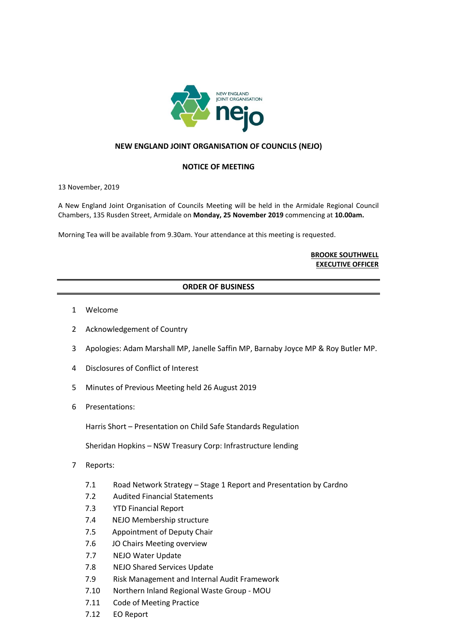

## **NEW ENGLAND JOINT ORGANISATION OF COUNCILS (NEJO)**

## **NOTICE OF MEETING**

13 November, 2019

A New England Joint Organisation of Councils Meeting will be held in the Armidale Regional Council Chambers, 135 Rusden Street, Armidale on **Monday, 25 November 2019** commencing at **10.00am.**

Morning Tea will be available from 9.30am. Your attendance at this meeting is requested.

## **BROOKE SOUTHWELL EXECUTIVE OFFICER**

## **ORDER OF BUSINESS**

- 1 Welcome
- 2 Acknowledgement of Country
- 3 Apologies: Adam Marshall MP, Janelle Saffin MP, Barnaby Joyce MP & Roy Butler MP.
- 4 Disclosures of Conflict of Interest
- 5 Minutes of Previous Meeting held 26 August 2019
- 6 Presentations:

Harris Short – Presentation on Child Safe Standards Regulation

Sheridan Hopkins – NSW Treasury Corp: Infrastructure lending

- 7 Reports:
	- 7.1 Road Network Strategy Stage 1 Report and Presentation by Cardno
	- 7.2 Audited Financial Statements
	- 7.3 YTD Financial Report
	- 7.4 NEJO Membership structure
	- 7.5 Appointment of Deputy Chair
	- 7.6 JO Chairs Meeting overview
	- 7.7 NEJO Water Update
	- 7.8 NEJO Shared Services Update
	- 7.9 Risk Management and Internal Audit Framework
	- 7.10 Northern Inland Regional Waste Group MOU
	- 7.11 Code of Meeting Practice
	- 7.12 EO Report